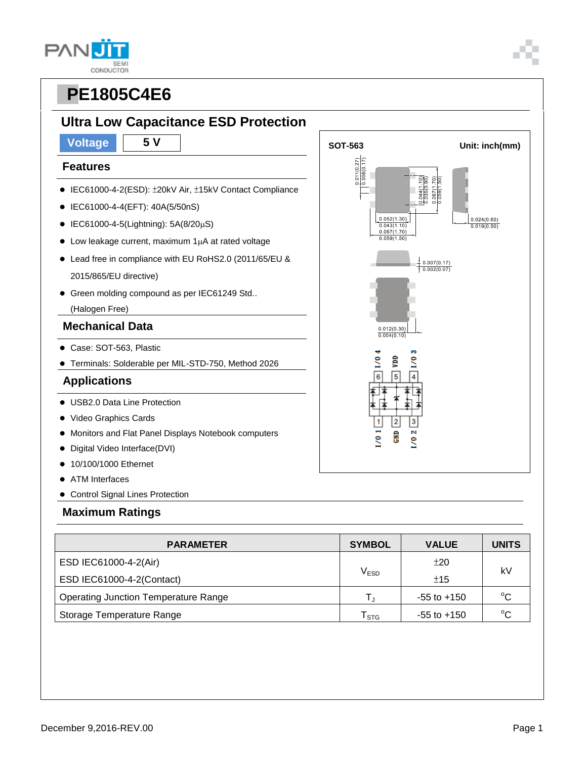# **Ultra Low Capacitance ESD Protection**

#### **Features**

- IEC61000-4-2(ESD): ±20kV Air, ±15kV Contact Compliance
- IEC61000-4-4(EFT): 40A(5/50nS)
- $\bullet$  IEC61000-4-5(Lightning): 5A(8/20µS)
- $\bullet$  Low leakage current, maximum 1 $\mu$ A at rated voltage
- Lead free in compliance with EU RoHS2.0 (2011/65/EU & 2015/865/EU directive)
- Green molding compound as per IEC61249 Std..

(Halogen Free)

### **Mechanical Data**

- Case: SOT-563, Plastic
- Terminals: Solderable per MIL-STD-750, Method 2026

### **Applications**

- USB2.0 Data Line Protection
- Video Graphics Cards
- Monitors and Flat Panel Displays Notebook computers
- Digital Video Interface(DVI)
- 10/100/1000 Ethernet
- ATM Interfaces
- Control Signal Lines Protection

#### **Maximum Ratings**

| <b>PARAMETER</b>                            | <b>SYMBOL</b>    | <b>VALUE</b>    | <b>UNITS</b> |  |
|---------------------------------------------|------------------|-----------------|--------------|--|
| ESD IEC61000-4-2(Air)                       |                  | ±20             | kV           |  |
| ESD IEC61000-4-2(Contact)                   | V <sub>ESD</sub> | ±15             |              |  |
| <b>Operating Junction Temperature Range</b> |                  | $-55$ to $+150$ | $^{\circ}C$  |  |
| Storage Temperature Range                   | <b>STG</b>       | $-55$ to $+150$ | $^{\circ}C$  |  |



**GND** g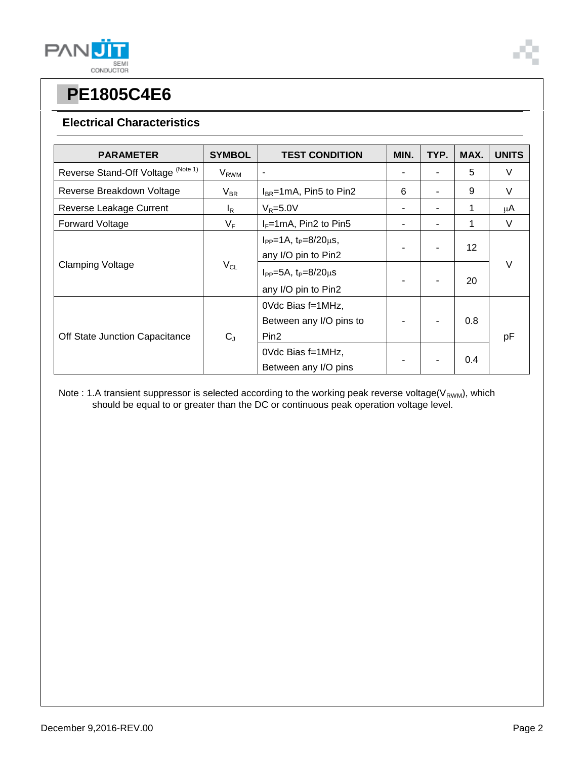

#### **Electrical Characteristics**

| <b>PARAMETER</b>                   | <b>SYMBOL</b>           | <b>TEST CONDITION</b>                                            | MIN. | TYP. | MAX.              | <b>UNITS</b> |
|------------------------------------|-------------------------|------------------------------------------------------------------|------|------|-------------------|--------------|
| Reverse Stand-Off Voltage (Note 1) | <b>V</b> <sub>RWM</sub> | $\blacksquare$                                                   |      |      | 5                 | V            |
| Reverse Breakdown Voltage          | $V_{BR}$                | $I_{BR}$ =1mA, Pin5 to Pin2                                      | 6    |      | 9                 | V            |
| Reverse Leakage Current            | l <sub>R</sub>          | $V_R = 5.0V$                                                     |      |      | 1                 | μA           |
| <b>Forward Voltage</b>             | $V_F$                   | $I_F = 1 \text{mA}$ , Pin2 to Pin5                               | ۰    |      | 1                 | V            |
| <b>Clamping Voltage</b>            | $V_{CL}$                | $I_{PP} = 1A$ , $t_P = 8/20 \mu s$ ,<br>any I/O pin to Pin2      |      |      | $12 \overline{ }$ | V            |
|                                    |                         | $I_{PP} = 5A$ , $t_P = 8/20 \mu s$<br>any I/O pin to Pin2        |      |      | 20                |              |
| Off State Junction Capacitance     | $C_{J}$                 | OVdc Bias f=1MHz,<br>Between any I/O pins to<br>Pin <sub>2</sub> |      |      | 0.8               | рF           |
|                                    |                         | OVdc Bias f=1MHz,<br>Between any I/O pins                        |      |      | 0.4               |              |

Note : 1.A transient suppressor is selected according to the working peak reverse voltage(V<sub>RWM</sub>), which should be equal to or greater than the DC or continuous peak operation voltage level.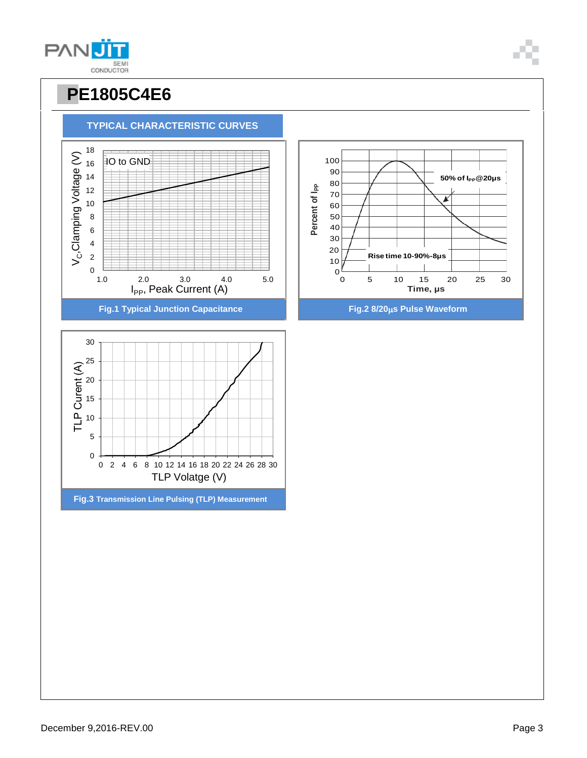

**TYPICAL CHARACTERISTIC CURVES**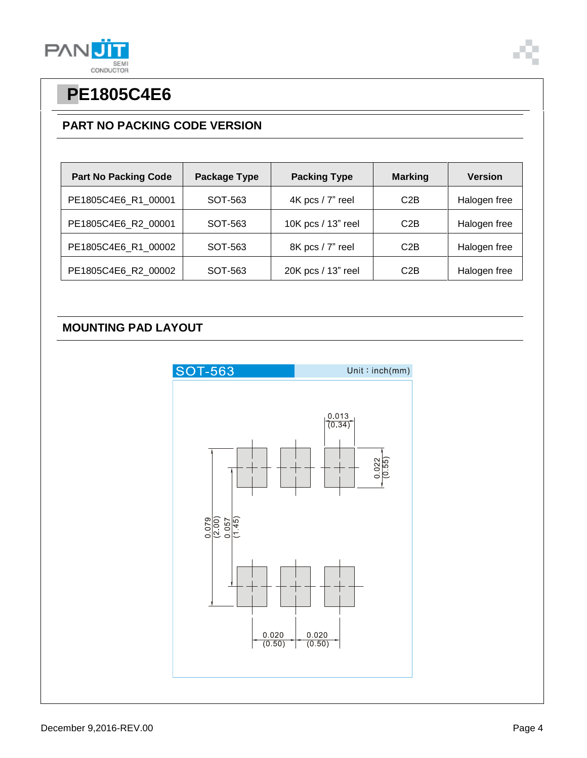

### **PART NO PACKING CODE VERSION**

| <b>Part No Packing Code</b> | <b>Package Type</b> | <b>Packing Type</b> | <b>Marking</b> | <b>Version</b> |
|-----------------------------|---------------------|---------------------|----------------|----------------|
| PE1805C4E6_R1_00001         | SOT-563             | 4K pcs / 7" reel    | C2B            | Halogen free   |
| PE1805C4E6 R2 00001         | SOT-563             | 10K pcs / 13" reel  | C2B            | Halogen free   |
| PE1805C4E6_R1_00002         | SOT-563             | 8K pcs / 7" reel    | C2B            | Halogen free   |
| PE1805C4E6 R2 00002         | SOT-563             | 20K pcs / 13" reel  | C2B            | Halogen free   |

### **MOUNTING PAD LAYOUT**